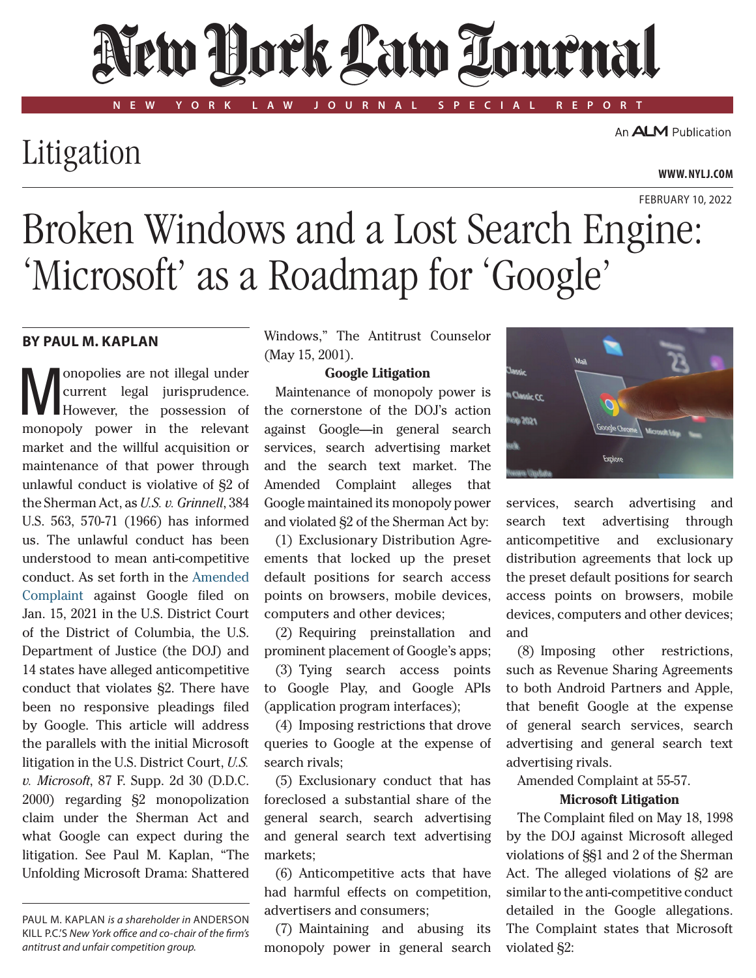# New Hork Law Lournal

**NEW YORK LAW JOURNAL SPECIAL REPORT**

## Litigation

An **ALM** Publication

#### **www. NYLJ.com**

### February 10, 2022 Broken Windows and a Lost Search Engine: 'Microsoft' as a Roadmap for 'Google'

#### **By Paul M. Kaplan**

Monopolies are not illegal under However, the possession of current legal jurisprudence. monopoly power in the relevant market and the willful acquisition or maintenance of that power through unlawful conduct is violative of §2 of the Sherman Act, as *U.S. v. Grinnell*, 384 U.S. 563, 570-71 (1966) has informed us. The unlawful conduct has been understood to mean anti-competitive conduct. As set forth in the [Amended](https://www.justice.gov/opa/press-release/file/1328941/download)  [Complaint](https://www.justice.gov/opa/press-release/file/1328941/download)  against Google filed on Jan. 15, 2021 in the U.S. District Court of the District of Columbia, the U.S. Department of Justice (the DOJ) and 14 states have alleged anticompetitive conduct that violates §2. There have been no responsive pleadings filed by Google. This article will address the parallels with the initial Microsoft litigation in the U.S. District Court, *U.S. v. Microsoft*, 87 F. Supp. 2d 30 (D.D.C. 2000) regarding §2 monopolization claim under the Sherman Act and what Google can expect during the litigation. See Paul M. Kaplan, "The Unfolding Microsoft Drama: Shattered

Paul M. Kaplan *is a shareholder in* Anderson Kill P.C.'s *New York office and co-chair of the firm's antitrust and unfair competition group.*

Windows," The Antitrust Counselor (May 15, 2001).

#### **Google Litigation**

Maintenance of monopoly power is the cornerstone of the DOJ's action against Google—in general search services, search advertising market and the search text market. The Amended Complaint alleges that Google maintained its monopoly power and violated §2 of the Sherman Act by:

(1) Exclusionary Distribution Agreements that locked up the preset default positions for search access points on browsers, mobile devices, computers and other devices;

(2) Requiring preinstallation and prominent placement of Google's apps;

(3) Tying search access points to Google Play, and Google APIs (application program interfaces);

(4) Imposing restrictions that drove queries to Google at the expense of search rivals;

(5) Exclusionary conduct that has foreclosed a substantial share of the general search, search advertising and general search text advertising markets;

(6) Anticompetitive acts that have had harmful effects on competition, advertisers and consumers;

(7) Maintaining and abusing its monopoly power in general search



services, search advertising and search text advertising through anticompetitive and exclusionary distribution agreements that lock up the preset default positions for search access points on browsers, mobile devices, computers and other devices; and

(8) Imposing other restrictions, such as Revenue Sharing Agreements to both Android Partners and Apple, that benefit Google at the expense of general search services, search advertising and general search text advertising rivals.

Amended Complaint at 55-57.

#### **Microsoft Litigation**

The Complaint filed on May 18, 1998 by the DOJ against Microsoft alleged violations of §§1 and 2 of the Sherman Act. The alleged violations of §2 are similar to the anti-competitive conduct detailed in the Google allegations. The Complaint states that Microsoft violated §2: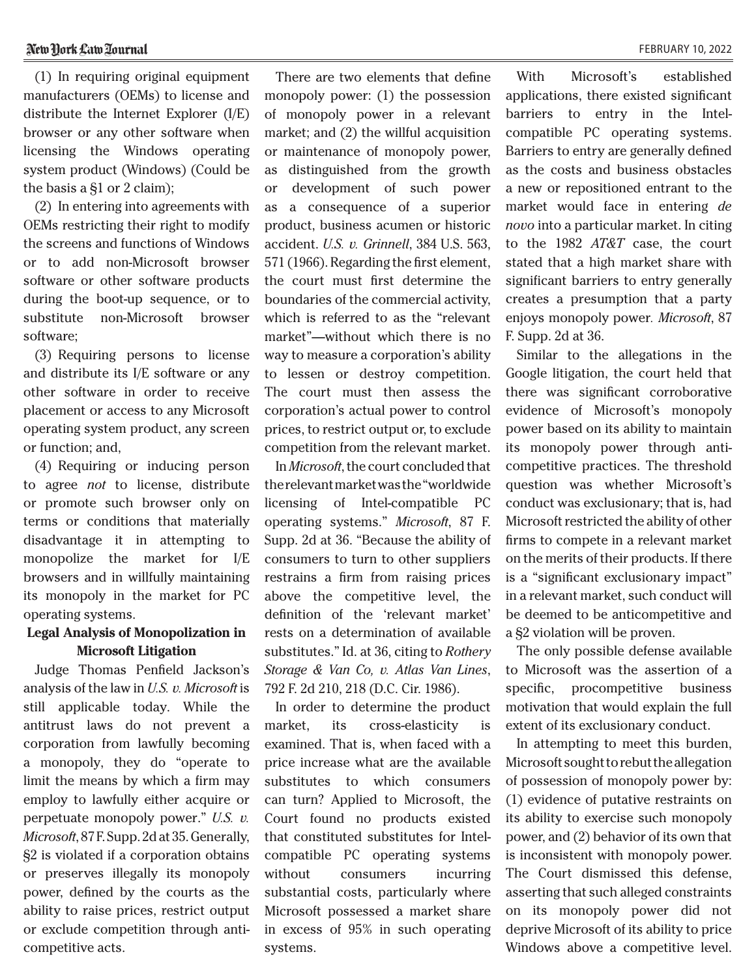(1) In requiring original equipment manufacturers (OEMs) to license and distribute the Internet Explorer (I/E) browser or any other software when licensing the Windows operating system product (Windows) (Could be the basis a §1 or 2 claim);

(2) In entering into agreements with OEMs restricting their right to modify the screens and functions of Windows or to add non-Microsoft browser software or other software products during the boot-up sequence, or to substitute non-Microsoft browser software;

(3) Requiring persons to license and distribute its I/E software or any other software in order to receive placement or access to any Microsoft operating system product, any screen or function; and,

(4) Requiring or inducing person to agree *not* to license, distribute or promote such browser only on terms or conditions that materially disadvantage it in attempting to monopolize the market for I/E browsers and in willfully maintaining its monopoly in the market for PC operating systems.

#### **Legal Analysis of Monopolization in Microsoft Litigation**

Judge Thomas Penfield Jackson's analysis of the law in *U.S. v. Microsoft* is still applicable today. While the antitrust laws do not prevent a corporation from lawfully becoming a monopoly, they do "operate to limit the means by which a firm may employ to lawfully either acquire or perpetuate monopoly power." *U.S. v. Microsoft*, 87 F. Supp. 2d at 35. Generally, §2 is violated if a corporation obtains or preserves illegally its monopoly power, defined by the courts as the ability to raise prices, restrict output or exclude competition through anticompetitive acts.

There are two elements that define monopoly power: (1) the possession of monopoly power in a relevant market; and (2) the willful acquisition or maintenance of monopoly power, as distinguished from the growth or development of such power as a consequence of a superior product, business acumen or historic accident. *U.S. v. Grinnell*, 384 U.S. 563, 571 (1966). Regarding the first element, the court must first determine the boundaries of the commercial activity, which is referred to as the "relevant market"—without which there is no way to measure a corporation's ability to lessen or destroy competition. The court must then assess the corporation's actual power to control prices, to restrict output or, to exclude competition from the relevant market.

In *Microsoft*, the court concluded that the relevant market was the "worldwide licensing of Intel-compatible PC operating systems." *Microsoft*, 87 F. Supp. 2d at 36. "Because the ability of consumers to turn to other suppliers restrains a firm from raising prices above the competitive level, the definition of the 'relevant market' rests on a determination of available substitutes." Id. at 36, citing to *Rothery Storage & Van Co, v. Atlas Van Lines*, 792 F. 2d 210, 218 (D.C. Cir. 1986).

In order to determine the product market, its cross-elasticity is examined. That is, when faced with a price increase what are the available substitutes to which consumers can turn? Applied to Microsoft, the Court found no products existed that constituted substitutes for Intelcompatible PC operating systems without consumers incurring substantial costs, particularly where Microsoft possessed a market share in excess of 95% in such operating systems.

With Microsoft's established applications, there existed significant barriers to entry in the Intelcompatible PC operating systems. Barriers to entry are generally defined as the costs and business obstacles a new or repositioned entrant to the market would face in entering *de novo* into a particular market. In citing to the 1982 *AT&T* case, the court stated that a high market share with significant barriers to entry generally creates a presumption that a party enjoys monopoly power*. Microsoft*, 87 F. Supp. 2d at 36.

Similar to the allegations in the Google litigation, the court held that there was significant corroborative evidence of Microsoft's monopoly power based on its ability to maintain its monopoly power through anticompetitive practices. The threshold question was whether Microsoft's conduct was exclusionary; that is, had Microsoft restricted the ability of other firms to compete in a relevant market on the merits of their products. If there is a "significant exclusionary impact" in a relevant market, such conduct will be deemed to be anticompetitive and a §2 violation will be proven.

The only possible defense available to Microsoft was the assertion of a specific, procompetitive business motivation that would explain the full extent of its exclusionary conduct.

In attempting to meet this burden, Microsoft sought to rebut the allegation of possession of monopoly power by: (1) evidence of putative restraints on its ability to exercise such monopoly power, and (2) behavior of its own that is inconsistent with monopoly power. The Court dismissed this defense, asserting that such alleged constraints on its monopoly power did not deprive Microsoft of its ability to price Windows above a competitive level.